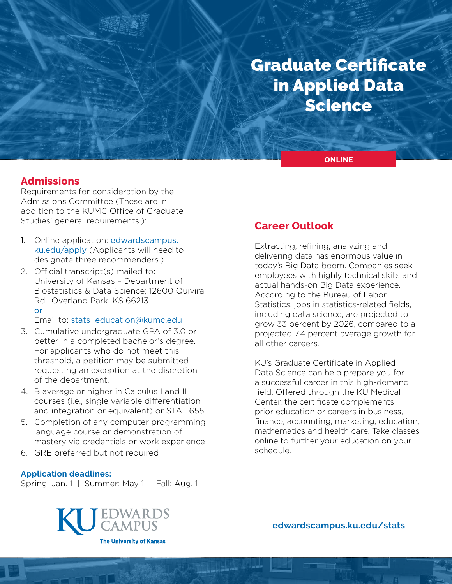# Graduate Certificate in Applied Data Science

**ONLINE**

## **Admissions**

Requirements for consideration by the Admissions Committee (These are in addition to the KUMC Office of Graduate Studies' general requirements.):

- 1. Online application: [edwardscampus.](https://edwardscampus.ku.edu/apply) [ku.edu/apply](https://edwardscampus.ku.edu/apply) (Applicants will need to designate three recommenders.)
- 2. Official transcript(s) mailed to: University of Kansas – Department of Biostatistics & Data Science; 12600 Quivira Rd., Overland Park, KS 66213 or

Email to: [stats\\_education@kumc.edu](mailto:stats_education%40kumc.edu?subject=)

- 3. Cumulative undergraduate GPA of 3.0 or better in a completed bachelor's degree. For applicants who do not meet this threshold, a petition may be submitted requesting an exception at the discretion of the department.
- 4. B average or higher in Calculus I and II courses (i.e., single variable differentiation and integration or equivalent) or STAT 655
- 5. Completion of any computer programming language course or demonstration of mastery via credentials or work experience
- 6. GRE preferred but not required

#### **Application deadlines:**

Spring: Jan. 1 | Summer: May 1 | Fall: Aug. 1

## **Career Outlook**

Extracting, refining, analyzing and delivering data has enormous value in today's Big Data boom. Companies seek employees with highly technical skills and actual hands-on Big Data experience. According to the Bureau of Labor Statistics, jobs in statistics-related fields, including data science, are projected to grow 33 percent by 2026, compared to a projected 7.4 percent average growth for all other careers.

KU's Graduate Certificate in Applied Data Science can help prepare you for a successful career in this high-demand field. Offered through the KU Medical Center, the certificate complements prior education or careers in business, finance, accounting, marketing, education, mathematics and health care. Take classes online to further your education on your schedule.



**[edwardscampus.ku.edu/s](https://edwardscampus.ku.edu/overview-masters-applied-statistics-analytics)tats**